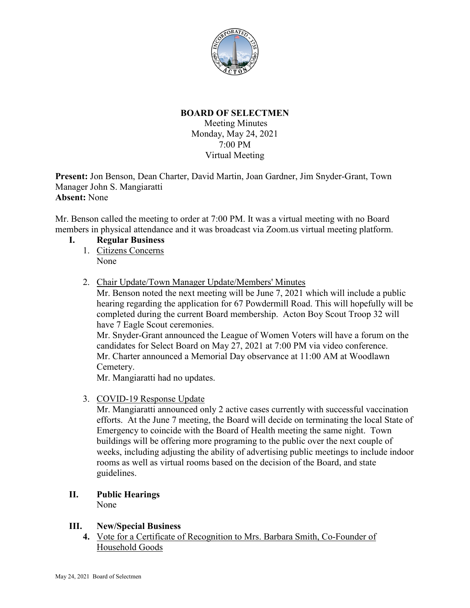

## **BOARD OF SELECTMEN**

Meeting Minutes Monday, May 24, 2021 7:00 PM Virtual Meeting

**Present:** Jon Benson, Dean Charter, David Martin, Joan Gardner, Jim Snyder-Grant, Town Manager John S. Mangiaratti **Absent:** None

Mr. Benson called the meeting to order at 7:00 PM. It was a virtual meeting with no Board members in physical attendance and it was broadcast via Zoom.us virtual meeting platform.

- **I. Regular Business**
	- 1. Citizens Concerns None
	- 2. Chair Update/Town Manager Update/Members' Minutes

Mr. Benson noted the next meeting will be June 7, 2021 which will include a public hearing regarding the application for 67 Powdermill Road. This will hopefully will be completed during the current Board membership. Acton Boy Scout Troop 32 will have 7 Eagle Scout ceremonies.

Mr. Snyder-Grant announced the League of Women Voters will have a forum on the candidates for Select Board on May 27, 2021 at 7:00 PM via video conference. Mr. Charter announced a Memorial Day observance at 11:00 AM at Woodlawn Cemetery.

Mr. Mangiaratti had no updates.

3. COVID-19 Response Update

Mr. Mangiaratti announced only 2 active cases currently with successful vaccination efforts. At the June 7 meeting, the Board will decide on terminating the local State of Emergency to coincide with the Board of Health meeting the same night. Town buildings will be offering more programing to the public over the next couple of weeks, including adjusting the ability of advertising public meetings to include indoor rooms as well as virtual rooms based on the decision of the Board, and state guidelines.

#### **II. Public Hearings** None

**III. New/Special Business**

**4.** Vote for a Certificate of Recognition to Mrs. Barbara Smith, Co-Founder of Household Goods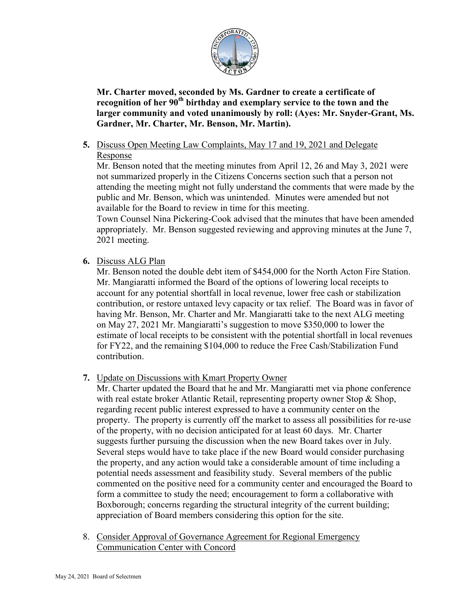

**Mr. Charter moved, seconded by Ms. Gardner to create a certificate of recognition of her 90th birthday and exemplary service to the town and the larger community and voted unanimously by roll: (Ayes: Mr. Snyder-Grant, Ms. Gardner, Mr. Charter, Mr. Benson, Mr. Martin).**

# **5.** Discuss Open Meeting Law Complaints, May 17 and 19, 2021 and Delegate

Response

Mr. Benson noted that the meeting minutes from April 12, 26 and May 3, 2021 were not summarized properly in the Citizens Concerns section such that a person not attending the meeting might not fully understand the comments that were made by the public and Mr. Benson, which was unintended. Minutes were amended but not available for the Board to review in time for this meeting.

Town Counsel Nina Pickering-Cook advised that the minutes that have been amended appropriately. Mr. Benson suggested reviewing and approving minutes at the June 7, 2021 meeting.

**6.** Discuss ALG Plan

Mr. Benson noted the double debt item of \$454,000 for the North Acton Fire Station. Mr. Mangiaratti informed the Board of the options of lowering local receipts to account for any potential shortfall in local revenue, lower free cash or stabilization contribution, or restore untaxed levy capacity or tax relief. The Board was in favor of having Mr. Benson, Mr. Charter and Mr. Mangiaratti take to the next ALG meeting on May 27, 2021 Mr. Mangiaratti's suggestion to move \$350,000 to lower the estimate of local receipts to be consistent with the potential shortfall in local revenues for FY22, and the remaining \$104,000 to reduce the Free Cash/Stabilization Fund contribution.

**7.** Update on Discussions with Kmart Property Owner

Mr. Charter updated the Board that he and Mr. Mangiaratti met via phone conference with real estate broker Atlantic Retail, representing property owner Stop & Shop, regarding recent public interest expressed to have a community center on the property. The property is currently off the market to assess all possibilities for re-use of the property, with no decision anticipated for at least 60 days. Mr. Charter suggests further pursuing the discussion when the new Board takes over in July. Several steps would have to take place if the new Board would consider purchasing the property, and any action would take a considerable amount of time including a potential needs assessment and feasibility study. Several members of the public commented on the positive need for a community center and encouraged the Board to form a committee to study the need; encouragement to form a collaborative with Boxborough; concerns regarding the structural integrity of the current building; appreciation of Board members considering this option for the site.

8. Consider Approval of Governance Agreement for Regional Emergency Communication Center with Concord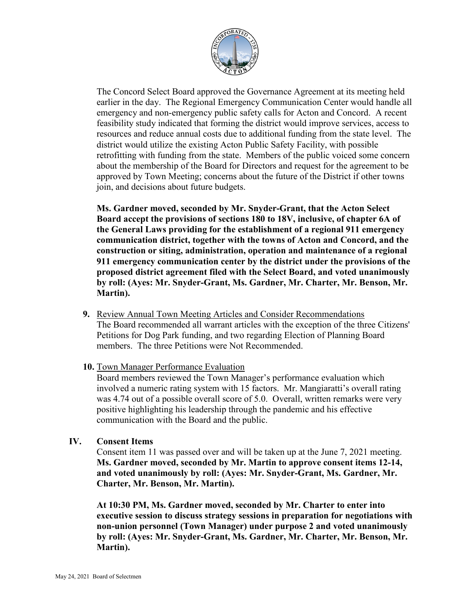

The Concord Select Board approved the Governance Agreement at its meeting held earlier in the day. The Regional Emergency Communication Center would handle all emergency and non-emergency public safety calls for Acton and Concord. A recent feasibility study indicated that forming the district would improve services, access to resources and reduce annual costs due to additional funding from the state level. The district would utilize the existing Acton Public Safety Facility, with possible retrofitting with funding from the state. Members of the public voiced some concern about the membership of the Board for Directors and request for the agreement to be approved by Town Meeting; concerns about the future of the District if other towns join, and decisions about future budgets.

**Ms. Gardner moved, seconded by Mr. Snyder-Grant, that the Acton Select Board accept the provisions of sections 180 to 18V, inclusive, of chapter 6A of the General Laws providing for the establishment of a regional 911 emergency communication district, together with the towns of Acton and Concord, and the construction or siting, administration, operation and maintenance of a regional 911 emergency communication center by the district under the provisions of the proposed district agreement filed with the Select Board, and voted unanimously by roll: (Ayes: Mr. Snyder-Grant, Ms. Gardner, Mr. Charter, Mr. Benson, Mr. Martin).**

- **9.** Review Annual Town Meeting Articles and Consider Recommendations The Board recommended all warrant articles with the exception of the three Citizens' Petitions for Dog Park funding, and two regarding Election of Planning Board members. The three Petitions were Not Recommended.
- **10.** Town Manager Performance Evaluation

Board members reviewed the Town Manager's performance evaluation which involved a numeric rating system with 15 factors. Mr. Mangiaratti's overall rating was 4.74 out of a possible overall score of 5.0. Overall, written remarks were very positive highlighting his leadership through the pandemic and his effective communication with the Board and the public.

### **IV. Consent Items**

Consent item 11 was passed over and will be taken up at the June 7, 2021 meeting. **Ms. Gardner moved, seconded by Mr. Martin to approve consent items 12-14, and voted unanimously by roll: (Ayes: Mr. Snyder-Grant, Ms. Gardner, Mr. Charter, Mr. Benson, Mr. Martin).**

**At 10:30 PM, Ms. Gardner moved, seconded by Mr. Charter to enter into executive session to discuss strategy sessions in preparation for negotiations with non-union personnel (Town Manager) under purpose 2 and voted unanimously by roll: (Ayes: Mr. Snyder-Grant, Ms. Gardner, Mr. Charter, Mr. Benson, Mr. Martin).**